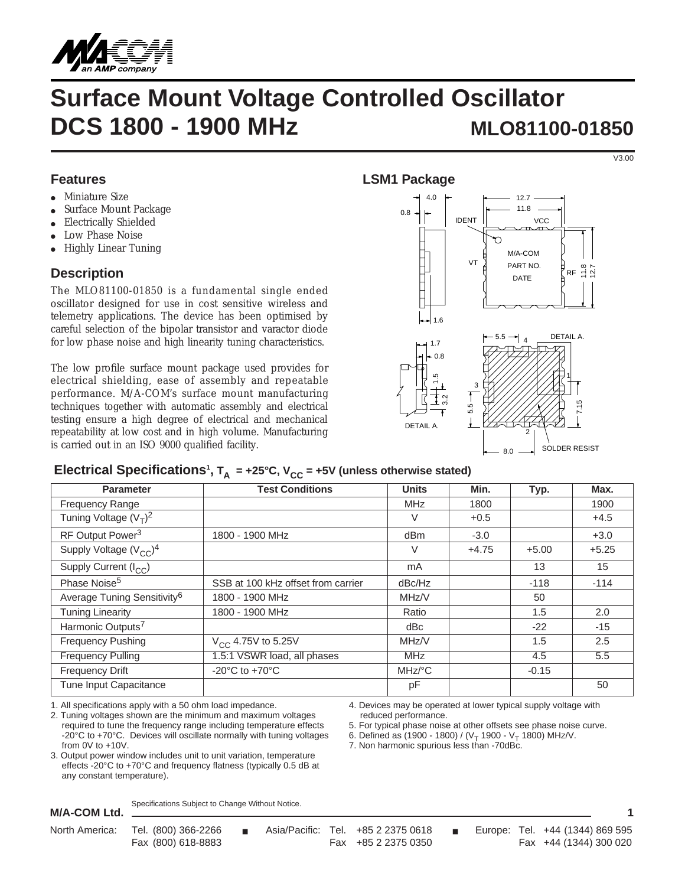

# **Surface Mount Voltage Controlled Oscillator DCS 1800 - 1900 MHz MLO81100-01850**

#### **Features**

- Miniature Size ●
- Surface Mount Package ●
- Electrically Shielded ●
- Low Phase Noise ●
- Highly Linear Tuning ●

## **Description**

The MLO81100-01850 is a fundamental single ended oscillator designed for use in cost sensitive wireless and telemetry applications. The device has been optimised by careful selection of the bipolar transistor and varactor diode for low phase noise and high linearity tuning characteristics.

The low profile surface mount package used provides for electrical shielding, ease of assembly and repeatable performance. M/A-COM's surface mount manufacturing techniques together with automatic assembly and electrical testing ensure a high degree of electrical and mechanical repeatability at low cost and in high volume. Manufacturing is carried out in an ISO 9000 qualified facility.

# **LSM1 Package**



# Electrical Specifications<sup>1</sup>,  $T_A$  = +25°C,  $V_{CC}$  = +5V (unless otherwise stated)

| <b>Parameter</b>                        | <b>Test Conditions</b>               | <b>Units</b>         | Min.    | Typ.    | Max.    |
|-----------------------------------------|--------------------------------------|----------------------|---------|---------|---------|
| Frequency Range                         |                                      | <b>MHz</b>           | 1800    |         | 1900    |
| Tuning Voltage $(V_T)^2$                |                                      | $\vee$               | $+0.5$  |         | $+4.5$  |
| RF Output Power <sup>3</sup>            | 1800 - 1900 MHz                      | dBm                  | $-3.0$  |         | $+3.0$  |
| Supply Voltage $(V_{CC})^4$             |                                      | V                    | $+4.75$ | $+5.00$ | $+5.25$ |
| Supply Current (I <sub>CC</sub> )       |                                      | mA                   |         | 13      | 15      |
| Phase Noise <sup>5</sup>                | SSB at 100 kHz offset from carrier   | dBc/Hz               |         | $-118$  | $-114$  |
| Average Tuning Sensitivity <sup>6</sup> | 1800 - 1900 MHz                      | MHZ/V                |         | 50      |         |
| <b>Tuning Linearity</b>                 | 1800 - 1900 MHz                      | Ratio                |         | 1.5     | 2.0     |
| Harmonic Outputs <sup>7</sup>           |                                      | dBc                  |         | $-22$   | $-15$   |
| <b>Frequency Pushing</b>                | $V_{CC}$ 4.75V to 5.25V              | MHz/V                |         | 1.5     | 2.5     |
| <b>Frequency Pulling</b>                | 1.5:1 VSWR load, all phases          | <b>MHz</b>           |         | 4.5     | 5.5     |
| <b>Frequency Drift</b>                  | -20 $^{\circ}$ C to +70 $^{\circ}$ C | $MHz$ <sup>o</sup> C |         | $-0.15$ |         |
| Tune Input Capacitance                  |                                      | pF                   |         |         | 50      |

1. All specifications apply with a 50 ohm load impedance.

2. Tuning voltages shown are the minimum and maximum voltages required to tune the frequency range including temperature effects -20°C to +70°C. Devices will oscillate normally with tuning voltages from 0V to +10V.

3. Output power window includes unit to unit variation, temperature effects -20°C to +70°C and frequency flatness (typically 0.5 dB at any constant temperature).

Specifications Subject to Change Without Notice.

**M/A-COM Ltd.**

reduced performance.

7. Non harmonic spurious less than -70dBc.

4. Devices may be operated at lower typical supply voltage with

5. For typical phase noise at other offsets see phase noise curve. 6. Defined as (1900 - 1800) / ( $V_T$  1900 -  $V_T$  1800) MHz/V.

**1**

V3.00